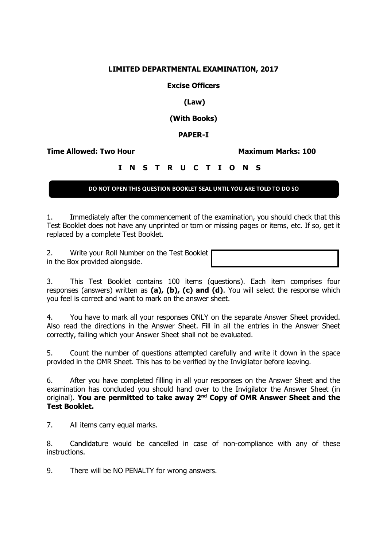## **LIMITED DEPARTMENTAL EXAMINATION, 2017**

**Excise Officers**

**(Law)**

**(With Books)**

**PAPER-I**

**Time Allowed: Two Hour Maximum Marks: 100**

# **I N S T R U C T I O N S**

### **DO NOT OPEN THIS QUESTION BOOKLET SEAL UNTIL YOU ARE TOLD TO DO SO**

1. Immediately after the commencement of the examination, you should check that this Test Booklet does not have any unprinted or torn or missing pages or items, etc. If so, get it replaced by a complete Test Booklet.

2. Write your Roll Number on the Test Booklet in the Box provided alongside.

3. This Test Booklet contains 100 items (questions). Each item comprises four responses (answers) written as **(a), (b), (c) and (d)**. You will select the response which you feel is correct and want to mark on the answer sheet.

4. You have to mark all your responses ONLY on the separate Answer Sheet provided. Also read the directions in the Answer Sheet. Fill in all the entries in the Answer Sheet correctly, failing which your Answer Sheet shall not be evaluated.

5. Count the number of questions attempted carefully and write it down in the space provided in the OMR Sheet. This has to be verified by the Invigilator before leaving.

6. After you have completed filling in all your responses on the Answer Sheet and the examination has concluded you should hand over to the Invigilator the Answer Sheet (in original). **You are permitted to take away 2nd Copy of OMR Answer Sheet and the Test Booklet.**

7. All items carry equal marks.

8. Candidature would be cancelled in case of non-compliance with any of these instructions.

9. There will be NO PENALTY for wrong answers.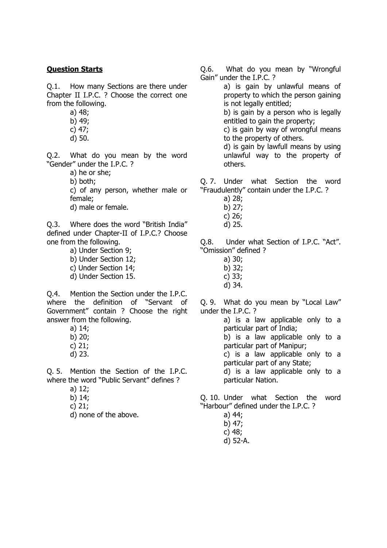#### **Question Starts**

Q.1. How many Sections are there under Chapter II I.P.C. ? Choose the correct one from the following.

- a) 48;
- b) 49;
- c) 47;
- d) 50.

Q.2. What do you mean by the word "Gender" under the I.P.C. ?

a) he or she;

b) both;

c) of any person, whether male or female;

d) male or female.

Q.3. Where does the word "British India" defined under Chapter-II of I.P.C.? Choose one from the following.

> a) Under Section 9; b) Under Section 12; c) Under Section 14; d) Under Section 15.

Q.4. Mention the Section under the I.P.C. where the definition of "Servant of Government" contain ? Choose the right answer from the following.

> a) 14; b) 20; c) 21; d) 23.

Q. 5. Mention the Section of the I.P.C.

where the word "Public Servant" defines ?

- a) 12;
- b) 14;
- c) 21;
- d) none of the above.

Q.6. What do you mean by "Wrongful Gain" under the I.P.C. ?

> a) is gain by unlawful means of property to which the person gaining is not legally entitled;

> b) is gain by a person who is legally entitled to gain the property;

> c) is gain by way of wrongful means to the property of others.

> d) is gain by lawfull means by using unlawful way to the property of others.

Q. 7. Under what Section the word "Fraudulently" contain under the I.P.C. ?

- a) 28;
- b) 27;
- c) 26;
- d) 25.

Q.8. Under what Section of I.P.C. "Act". "Omission" defined ?

- a) 30;
- b) 32;
- c) 33;
- d) 34.

Q. 9. What do you mean by "Local Law" under the I.P.C. ?

> a) is a law applicable only to a particular part of India;

b) is a law applicable only to a particular part of Manipur;

c) is a law applicable only to a particular part of any State;

d) is a law applicable only to a particular Nation.

Q. 10. Under what Section the word "Harbour" defined under the I.P.C. ?

- a) 44;
- b) 47;
- c) 48;
- d) 52-A.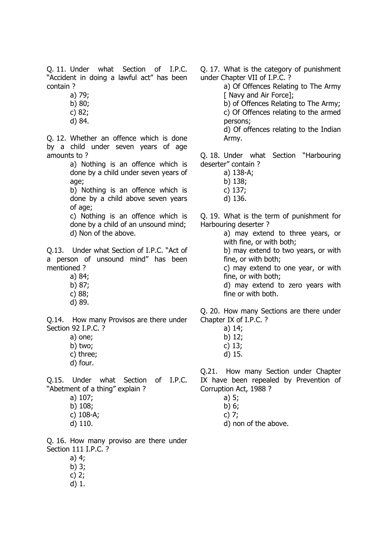Q. 11. Under what Section of I.P.C. "Accident in doing a lawful act" has been contain ?

a) 79;

b) 80;

c) 82;

d) 84.

Q. 12. Whether an offence which is done by a child under seven years of age amounts to ?

> a) Nothing is an offence which is done by a child under seven years of age;

> b) Nothing is an offence which is done by a child above seven years of age;

> c) Nothing is an offence which is done by a child of an unsound mind; d) Non of the above.

Q.13. Under what Section of I.P.C. "Act of a person of unsound mind" has been mentioned ?

- a) 84;
- b) 87;
- c) 88;
- d) 89.

Q.14. How many Provisos are there under Section 92 I.P.C. ?

- a) one;
- b) two;
- c) three;
- d) four.

Q.15. Under what Section of I.P.C. "Abetment of a thing" explain ?

- a) 107;
- b) 108;
- c) 108-A;
- d) 110.

Q. 16. How many proviso are there under Section 111 I.P.C. ?

- a) 4;
- b) 3;
- c) 2;
- d) 1.

Q. 17. What is the category of punishment under Chapter VII of I.P.C. ?

a) Of Offences Relating to The Army [ Navy and Air Force];

b) of Offences Relating to The Army; c) Of Offences relating to the armed persons;

d) Of offences relating to the Indian Army.

Q. 18. Under what Section "Harbouring deserter" contain ?

- a) 138-A;
- b) 138;
- c) 137;
- d) 136.

Q. 19. What is the term of punishment for Harbouring deserter ?

a) may extend to three years, or with fine, or with both;

b) may extend to two years, or with fine, or with both;

c) may extend to one year, or with fine, or with both;

d) may extend to zero years with fine or with both.

Q. 20. How many Sections are there under Chapter IX of I.P.C. ?

- a) 14;
- b) 12;
- c) 13;
- d) 15.

Q.21. How many Section under Chapter IX have been repealed by Prevention of Corruption Act, 1988 ?

- a) 5;
- b) 6;

c) 7;

d) non of the above.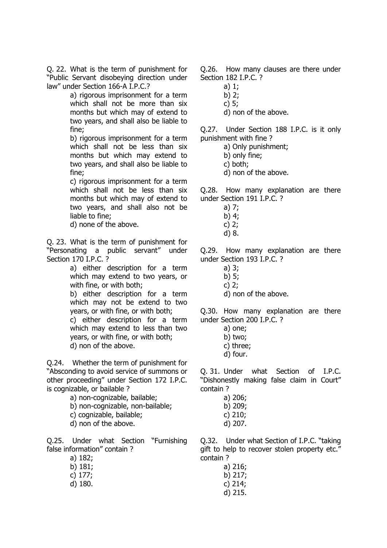Q. 22. What is the term of punishment for "Public Servant disobeying direction under law" under Section 166-A I.P.C.?

> a) rigorous imprisonment for a term which shall not be more than six months but which may of extend to two years, and shall also be liable to fine;

> b) rigorous imprisonment for a term which shall not be less than six months but which may extend to two years, and shall also be liable to fine;

> c) rigorous imprisonment for a term which shall not be less than six months but which may of extend to two years, and shall also not be liable to fine;

d) none of the above.

Q. 23. What is the term of punishment for "Personating a public servant" under Section 170 I.P.C. ?

> a) either description for a term which may extend to two years, or with fine, or with both;

> b) either description for a term which may not be extend to two years, or with fine, or with both;

> c) either description for a term which may extend to less than two years, or with fine, or with both; d) non of the above.

Q.24. Whether the term of punishment for "Absconding to avoid service of summons or other proceeding" under Section 172 I.P.C. is cognizable, or bailable ?

- a) non-cognizable, bailable;
- b) non-cognizable, non-bailable;
- c) cognizable, bailable;
- d) non of the above.

Q.25. Under what Section "Furnishing false information" contain ?

- a) 182;
- b) 181;
- c) 177;
- d) 180.

Q.26. How many clauses are there under Section 182 I.P.C. ?

- a) 1;
- b) 2; c) 5;
- d) non of the above.

Q.27. Under Section 188 I.P.C. is it only punishment with fine ?

a) Only punishment;

- b) only fine;
- c) both;
- d) non of the above.

Q.28. How many explanation are there under Section 191 I.P.C. ?

- a) 7;
- b) 4;
- c) 2;
- d) 8.

Q.29. How many explanation are there under Section 193 I.P.C. ?

- a) 3;
- b) 5;
- c) 2;
- d) non of the above.

Q.30. How many explanation are there under Section 200 I.P.C. ?

- a) one;
- b) two;
- c) three;
- d) four.

Q. 31. Under what Section of I.P.C. "Dishonestly making false claim in Court" contain ?

- a) 206; b) 209;
- c) 210;
- d) 207.

Q.32. Under what Section of I.P.C. "taking gift to help to recover stolen property etc." contain ?

> a) 216; b) 217; c) 214; d) 215.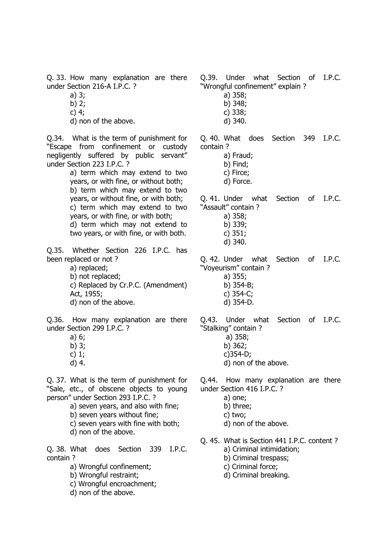Q. 33. How many explanation are there under Section 216-A I.P.C. ?

- a) 3;
- b) 2;
- c) 4;
- d) non of the above.

Q.34. What is the term of punishment for "Escape from confinement or custody negligently suffered by public servant" under Section 223 I.P.C. ?

a) term which may extend to two years, or with fine, or without both; b) term which may extend to two years, or without fine, or with both; c) term which may extend to two years, or with fine, or with both; d) term which may not extend to two years, or with fine, or with both.

Q.35. Whether Section 226 I.P.C. has been replaced or not ?

a) replaced; b) not replaced; c) Replaced by Cr.P.C. (Amendment) Act, 1955;

d) non of the above.

Q.36. How many explanation are there under Section 299 I.P.C. ?

- a) 6;
- b) 3;
- c) 1;
- d) 4.

Q. 37. What is the term of punishment for "Sale, etc., of obscene objects to young person" under Section 293 I.P.C. ?

- a) seven years, and also with fine;
- b) seven years without fine;
- c) seven years with fine with both;
- d) non of the above.

Q. 38. What does Section 339 I.P.C. contain ?

- a) Wrongful confinement;
- b) Wrongful restraint;
- c) Wrongful encroachment;
- d) non of the above.

"Wrongful confinement" explain ? a) 358; b) 348; c) 338; d) 340. Q. 40. What does Section 349 I.P.C. contain ? a) Fraud; b) Find; c) Firce; d) Force. Q. 41. Under what Section of I.P.C.

Q.39. Under what Section of I.P.C.

"Assault" contain ?

- a) 358; b) 339;
	- c) 351;
- d) 340.

Q. 42. Under what Section of I.P.C. "Voyeurism" contain ? a) 355; b) 354-B;

- c) 354-C;
- d) 354-D.

Q.43. Under what Section of I.P.C. "Stalking" contain ? a) 358; b) 362; c)354-D; d) non of the above.

Q.44. How many explanation are there under Section 416 I.P.C. ?

- a) one;
- b) three;
- c) two;
- d) non of the above.
- Q. 45. What is Section 441 I.P.C. content ?
	- a) Criminal intimidation;
	- b) Criminal trespass;
	- c) Criminal force;
	- d) Criminal breaking.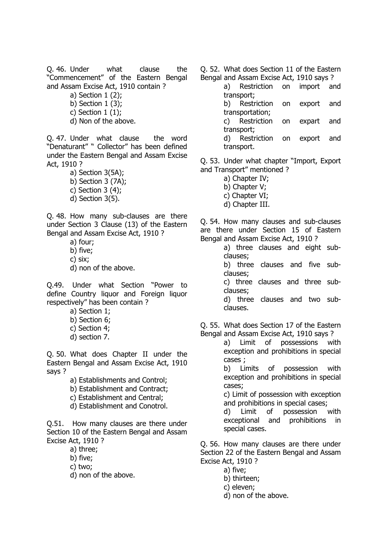Q. 46. Under what clause the "Commencement" of the Eastern Bengal and Assam Excise Act, 1910 contain ?

- a) Section 1 (2);
- b) Section 1 (3);
- c) Section 1 (1);
- d) Non of the above.

Q. 47. Under what clause the word "Denaturant" " Collector" has been defined under the Eastern Bengal and Assam Excise Act, 1910 ?

a) Section 3(5A); b) Section 3 (7A); c) Section  $3(4)$ ; d) Section 3(5).

Q. 48. How many sub-clauses are there under Section 3 Clause (13) of the Eastern Bengal and Assam Excise Act, 1910 ?

- a) four; b) five; c) six;
- d) non of the above.

Q.49. Under what Section "Power to define Country liquor and Foreign liquor respectively" has been contain ?

- a) Section 1;
- b) Section 6;
- c) Section 4;
- d) section 7.

Q. 50. What does Chapter II under the Eastern Bengal and Assam Excise Act, 1910 says ?

- a) Establishments and Control;
- b) Establishment and Contract;
- c) Establishment and Central;
- d) Establishment and Conotrol.

Q.51. How many clauses are there under Section 10 of the Eastern Bengal and Assam Excise Act, 1910 ?

- a) three;
- b) five;
- c) two;
- d) non of the above.

Q. 52. What does Section 11 of the Eastern Bengal and Assam Excise Act, 1910 says ?

a) Restriction on import and transport; b) Restriction on export and

transportation;

c) Restriction on expart and transport;

d) Restriction on export and transport.

Q. 53. Under what chapter "Import, Export and Transport" mentioned ?

- a) Chapter IV;
- b) Chapter V;
- c) Chapter VI;
- d) Chapter III.

Q. 54. How many clauses and sub-clauses are there under Section 15 of Eastern Bengal and Assam Excise Act, 1910 ?

> a) three clauses and eight subclauses;

b) three clauses and five subclauses;

c) three clauses and three subclauses;

d) three clauses and two subclauses.

Q. 55. What does Section 17 of the Eastern Bengal and Assam Excise Act, 1910 says ?

a) Limit of possessions with exception and prohibitions in special cases ;

b) Limits of possession with exception and prohibitions in special cases;

c) Limit of possession with exception and prohibitions in special cases;

d) Limit of possession with exceptional and prohibitions in special cases.

Q. 56. How many clauses are there under Section 22 of the Eastern Bengal and Assam Excise Act, 1910 ?

- a) five;
- b) thirteen;
- c) eleven;
- d) non of the above.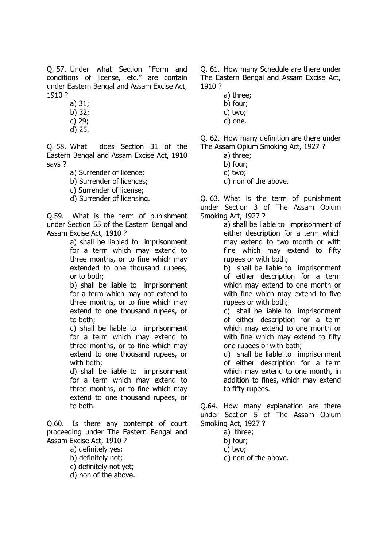Q. 57. Under what Section "Form and conditions of license, etc." are contain under Eastern Bengal and Assam Excise Act, 1910 ?

- a) 31;
- b) 32;
- c) 29;
- d) 25.

Q. 58. What does Section 31 of the Eastern Bengal and Assam Excise Act, 1910 says ?

a) Surrender of licence;

b) Surrender of licences;

c) Surrender of license;

d) Surrender of licensing.

Q.59. What is the term of punishment under Section 55 of the Eastern Bengal and Assam Excise Act, 1910 ?

> a) shall be liabled to imprisonment for a term which may extend to three months, or to fine which may extended to one thousand rupees, or to both;

> b) shall be liable to imprisonment for a term which may not extend to three months, or to fine which may extend to one thousand rupees, or to both;

> c) shall be liable to imprisonment for a term which may extend to three months, or to fine which may extend to one thousand rupees, or with both;

> d) shall be liable to imprisonment for a term which may extend to three months, or to fine which may extend to one thousand rupees, or to both.

Q.60. Is there any contempt of court proceeding under The Eastern Bengal and Assam Excise Act, 1910 ?

a) definitely yes;

b) definitely not;

- c) definitely not yet;
- d) non of the above.

Q. 61. How many Schedule are there under The Eastern Bengal and Assam Excise Act, 1910 ?

- a) three;
- b) four;
- c) two;
- d) one.

Q. 62. How many definition are there under The Assam Opium Smoking Act, 1927 ?

- a) three;
	- b) four;
	- c) two;
	- d) non of the above.

Q. 63. What is the term of punishment under Section 3 of The Assam Opium Smoking Act, 1927 ?

a) shall be liable to imprisonment of either description for a term which may extend to two month or with fine which may extend to fifty rupees or with both;

b) shall be liable to imprisonment of either description for a term which may extend to one month or with fine which may extend to five rupees or with both;

c) shall be liable to imprisonment of either description for a term which may extend to one month or with fine which may extend to fifty one rupees or with both;

d) shall be liable to imprisonment of either description for a term which may extend to one month, in addition to fines, which may extend to fifty rupees.

Q.64. How many explanation are there under Section 5 of The Assam Opium Smoking Act, 1927 ?

- a) three;
- b) four;
- c) two;
- d) non of the above.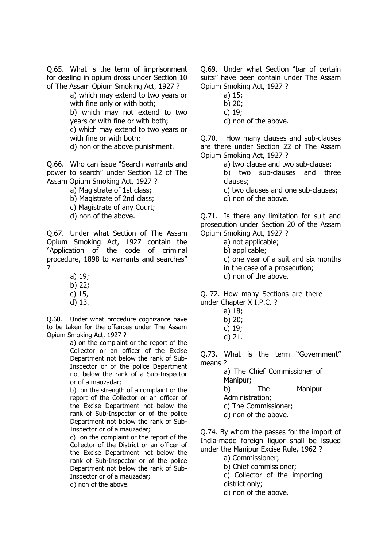Q.65. What is the term of imprisonment for dealing in opium dross under Section 10 of The Assam Opium Smoking Act, 1927 ?

a) which may extend to two years or with fine only or with both; b) which may not extend to two years or with fine or with both; c) which may extend to two years or with fine or with both; d) non of the above punishment.

Q.66. Who can issue "Search warrants and power to search" under Section 12 of The Assam Opium Smoking Act, 1927 ?

a) Magistrate of 1st class;

- b) Magistrate of 2nd class;
- c) Magistrate of any Court;
- d) non of the above.

Q.67. Under what Section of The Assam Opium Smoking Act, 1927 contain the "Application of the code of criminal procedure, 1898 to warrants and searches" ?

- a) 19;
- b) 22;
- c) 15,
- d) 13.

Q.68. Under what procedure cognizance have to be taken for the offences under The Assam Opium Smoking Act, 1927 ?

a) on the complaint or the report of the Collector or an officer of the Excise Department not below the rank of Sub-Inspector or of the police Department not below the rank of a Sub-Inspector or of a mauzadar;

b) on the strength of a complaint or the report of the Collector or an officer of the Excise Department not below the rank of Sub-Inspector or of the police Department not below the rank of Sub-Inspector or of a mauzadar;

c) on the complaint or the report of the Collector of the District or an officer of the Excise Department not below the rank of Sub-Inspector or of the police Department not below the rank of Sub-Inspector or of a mauzadar;

d) non of the above.

Q.69. Under what Section "bar of certain suits" have been contain under The Assam Opium Smoking Act, 1927 ?

- a) 15;
- b) 20;
- c) 19;
- d) non of the above.

Q.70. How many clauses and sub-clauses are there under Section 22 of The Assam Opium Smoking Act, 1927 ?

a) two clause and two sub-clause;

b) two sub-clauses and three clauses;

c) two clauses and one sub-clauses;

d) non of the above.

Q.71. Is there any limitation for suit and prosecution under Section 20 of the Assam Opium Smoking Act, 1927 ?

- a) not applicable;
- b) applicable;

c) one year of a suit and six months

- in the case of a prosecution;
- d) non of the above.

Q. 72. How many Sections are there under Chapter X I.P.C. ?

- a) 18;
- b) 20;
- c) 19;
- d) 21.

Q.73. What is the term "Government" means ?

> a) The Chief Commissioner of Manipur; b) The Manipur Administration; c) The Commissioner; d) non of the above.

Q.74. By whom the passes for the import of India-made foreign liquor shall be issued under the Manipur Excise Rule, 1962 ?

a) Commissioner;

b) Chief commissioner;

c) Collector of the importing

district only;

d) non of the above.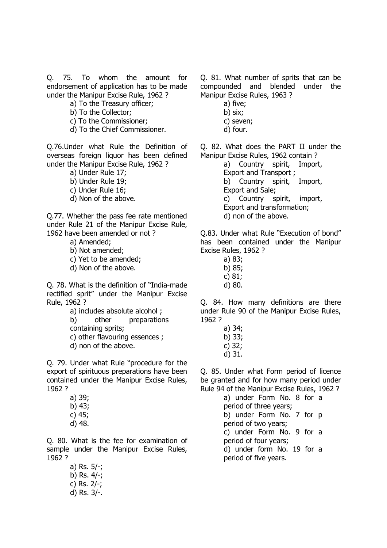Q. 75. To whom the amount for endorsement of application has to be made under the Manipur Excise Rule, 1962 ?

- a) To the Treasury officer;
- b) To the Collector;
- c) To the Commissioner;
- d) To the Chief Commissioner.

Q.76.Under what Rule the Definition of overseas foreign liquor has been defined under the Manipur Excise Rule, 1962 ?

- a) Under Rule 17;
- b) Under Rule 19;
- c) Under Rule 16;
- d) Non of the above.

Q.77. Whether the pass fee rate mentioned under Rule 21 of the Manipur Excise Rule, 1962 have been amended or not ?

a) Amended;

- b) Not amended;
- c) Yet to be amended;
- d) Non of the above.

Q. 78. What is the definition of "India-made rectified sprit" under the Manipur Excise Rule, 1962 ?

- a) includes absolute alcohol ;
- b) other preparations

containing sprits;

- c) other flavouring essences ;
- d) non of the above.

Q. 79. Under what Rule "procedure for the export of spirituous preparations have been contained under the Manipur Excise Rules, 1962 ?

> a) 39; b) 43; c) 45; d) 48.

Q. 80. What is the fee for examination of sample under the Manipur Excise Rules, 1962 ?

> a) Rs. 5/-; b) Rs. 4/-; c) Rs. 2/-; d) Rs. 3/-.

Q. 81. What number of sprits that can be compounded and blended under the Manipur Excise Rules, 1963 ?

- a) five;
- b) six;
- c) seven;
- d) four.

Q. 82. What does the PART II under the Manipur Excise Rules, 1962 contain ?

a) Country spirit, Import, Export and Transport ; b) Country spirit, Import, Export and Sale; c) Country spirit, import, Export and transformation; d) non of the above.

Q.83. Under what Rule "Execution of bond" has been contained under the Manipur Excise Rules, 1962 ?

- a) 83;
- b) 85;
- c) 81;
- d) 80.

Q. 84. How many definitions are there under Rule 90 of the Manipur Excise Rules, 1962 ?

- a) 34;
- b) 33;
- c) 32;
- d) 31.

Q. 85. Under what Form period of licence be granted and for how many period under Rule 94 of the Manipur Excise Rules, 1962 ?

> a) under Form No. 8 for a period of three years; b) under Form No. 7 for p period of two years; c) under Form No. 9 for a period of four years; d) under form No. 19 for a period of five years.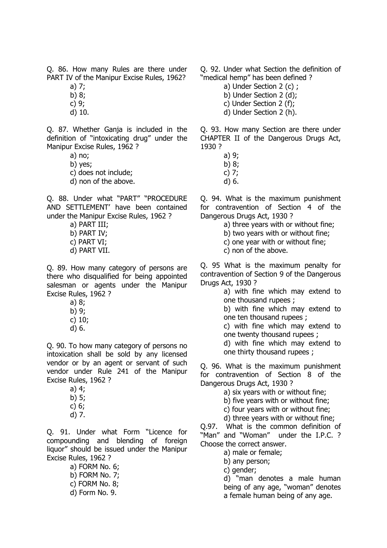Q. 86. How many Rules are there under PART IV of the Manipur Excise Rules, 1962?

- a) 7;
- b) 8; c) 9;
- d) 10.
- 

Q. 87. Whether Ganja is included in the definition of "intoxicating drug" under the Manipur Excise Rules, 1962 ?

- a) no;
- b) yes;
- c) does not include;
- d) non of the above.

Q. 88. Under what "PART" "PROCEDURE AND SETTLEMENT' have been contained under the Manipur Excise Rules, 1962 ?

- a) PART III;
- b) PART IV;
- c) PART VI;
- d) PART VII.

Q. 89. How many category of persons are there who disqualified for being appointed salesman or agents under the Manipur Excise Rules, 1962 ?

- a) 8;
- b) 9;
- c) 10;
- d) 6.

Q. 90. To how many category of persons no intoxication shall be sold by any licensed vendor or by an agent or servant of such vendor under Rule 241 of the Manipur Excise Rules, 1962 ?

- a) 4; b) 5;
- c) 6;
- d) 7.

Q. 91. Under what Form "Licence for compounding and blending of foreign liquor" should be issued under the Manipur Excise Rules, 1962 ?

a) FORM No. 6; b) FORM No. 7; c) FORM No. 8; d) Form No. 9.

Q. 92. Under what Section the definition of "medical hemp" has been defined ?

- a) Under Section 2 (c) ;
- b) Under Section 2 (d);
- c) Under Section 2 (f);
- d) Under Section 2 (h).

Q. 93. How many Section are there under CHAPTER II of the Dangerous Drugs Act, 1930 ?

- a) 9;
- b) 8;
- c) 7;
- d) 6.

Q. 94. What is the maximum punishment for contravention of Section 4 of the Dangerous Drugs Act, 1930 ?

- a) three years with or without fine;
- b) two years with or without fine;
- c) one year with or without fine;
- c) non of the above.

Q. 95 What is the maximum penalty for contravention of Section 9 of the Dangerous Drugs Act, 1930 ?

a) with fine which may extend to one thousand rupees ;

b) with fine which may extend to one ten thousand rupees ;

c) with fine which may extend to one twenty thousand rupees ;

d) with fine which may extend to one thirty thousand rupees ;

Q. 96. What is the maximum punishment for contravention of Section 8 of the Dangerous Drugs Act, 1930 ?

- a) six years with or without fine;
- b) five years with or without fine;
- c) four years with or without fine;
- d) three years with or without fine;

Q.97. What is the common definition of "Man" and "Woman" under the I.P.C. ? Choose the correct answer.

a) male or female;

b) any person;

c) gender;

d) "man denotes a male human being of any age, "woman" denotes a female human being of any age.